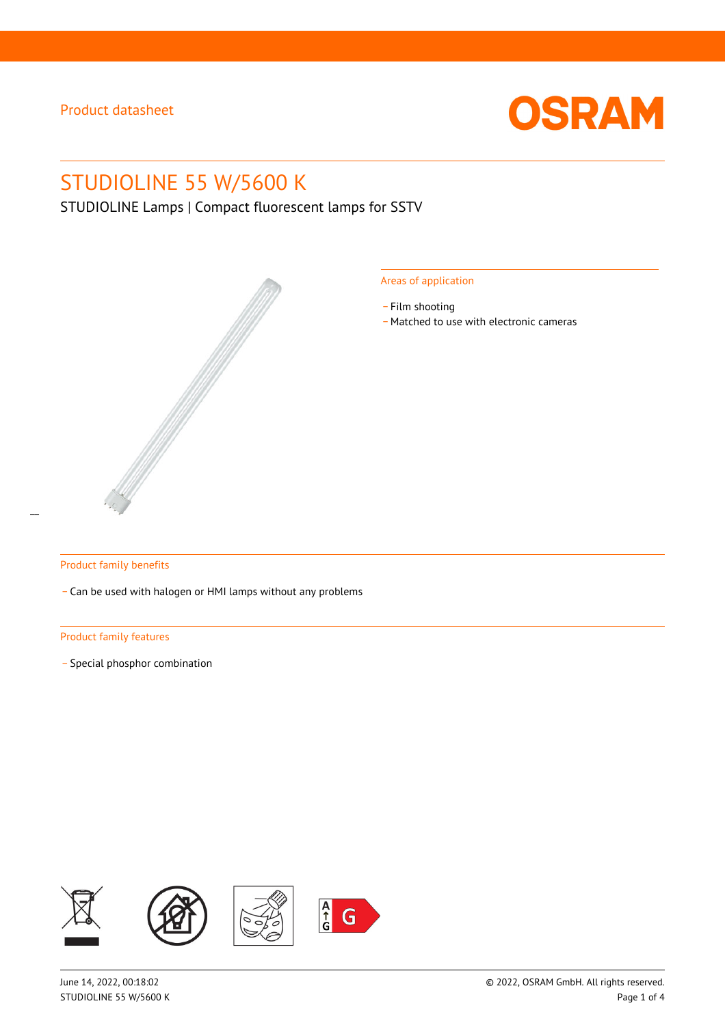

# STUDIOLINE 55 W/5600 K

STUDIOLINE Lamps | Compact fluorescent lamps for SSTV



#### Areas of application

- Film shooting
- \_ Matched to use with electronic cameras

#### Product family benefits

\_ Can be used with halogen or HMI lamps without any problems

#### Product family features

\_ Special phosphor combination

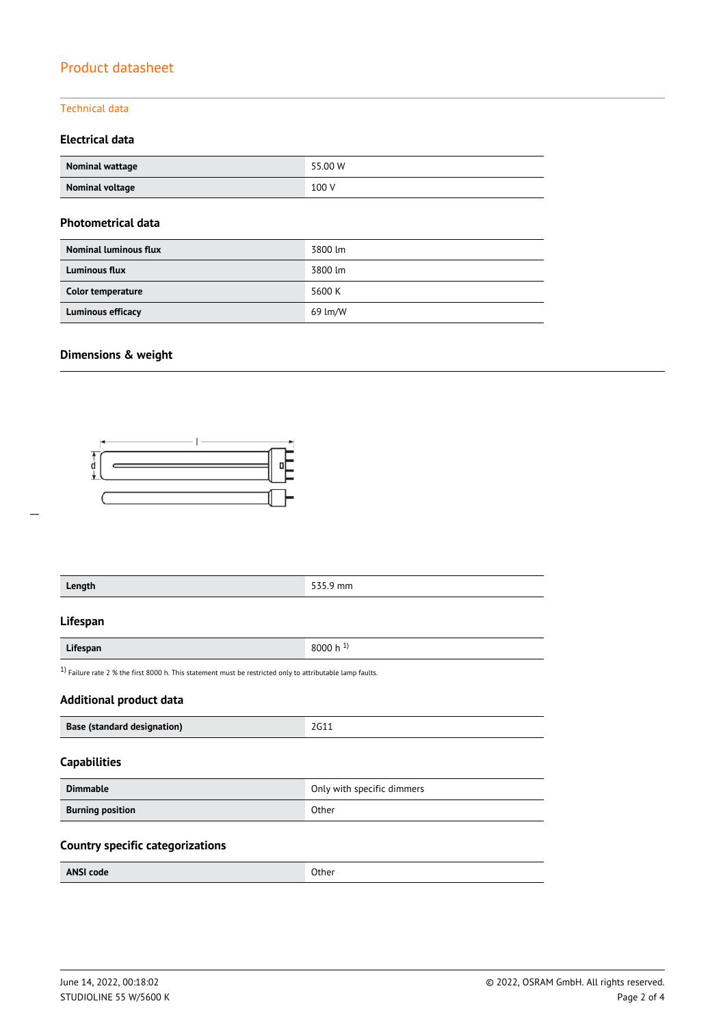### Technical data

### **Electrical data**

| Nominal wattage | 55.00 W |
|-----------------|---------|
| Nominal voltage | 100 V   |

#### **Photometrical data**

| <b>Nominal luminous flux</b> | 3800 lm |
|------------------------------|---------|
| <b>Luminous flux</b>         | 3800 lm |
| Color temperature            | 5600 K  |
| Luminous efficacy            | 69 lm/W |

### **Dimensions & weight**



| Length                                                                                                       |                            | 535.9 mm |  |  |
|--------------------------------------------------------------------------------------------------------------|----------------------------|----------|--|--|
| Lifespan                                                                                                     |                            |          |  |  |
| Lifespan                                                                                                     | 8000 h $^{1}$ )            |          |  |  |
| $1$ ) Failure rate 2 % the first 8000 h. This statement must be restricted only to attributable lamp faults. |                            |          |  |  |
| <b>Additional product data</b>                                                                               |                            |          |  |  |
| 2G11<br>Base (standard designation)                                                                          |                            |          |  |  |
| <b>Capabilities</b>                                                                                          |                            |          |  |  |
|                                                                                                              |                            |          |  |  |
| <b>Dimmable</b>                                                                                              | Only with specific dimmers |          |  |  |

### **Country specific categorizations**

| <b>ANSI code</b> | Other |
|------------------|-------|
|------------------|-------|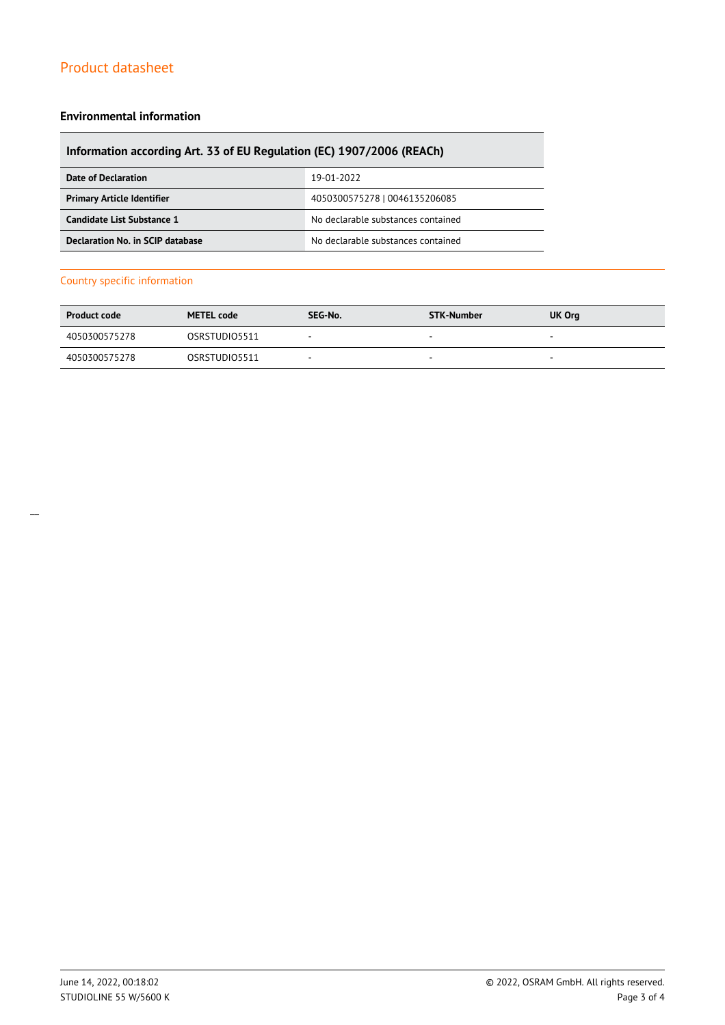#### **Environmental information**

### **Information according Art. 33 of EU Regulation (EC) 1907/2006 (REACh)**

| Date of Declaration               | 19-01-2022                         |
|-----------------------------------|------------------------------------|
| <b>Primary Article Identifier</b> | 4050300575278   0046135206085      |
| Candidate List Substance 1        | No declarable substances contained |
| Declaration No. in SCIP database  | No declarable substances contained |

#### Country specific information

| <b>Product code</b> | <b>METEL code</b> | SEG-No.                  | STK-Number | <b>UK Org</b>            |
|---------------------|-------------------|--------------------------|------------|--------------------------|
| 4050300575278       | OSRSTUDIO5511     | $\overline{\phantom{a}}$ | <b>м.</b>  | $\overline{\phantom{a}}$ |
| 4050300575278       | OSRSTUDIO5511     |                          |            | -                        |